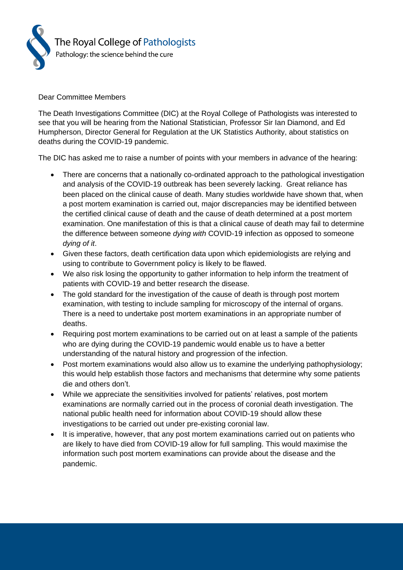

## Dear Committee Members

The Death Investigations Committee (DIC) at the Royal College of Pathologists was interested to see that you will be hearing from the National Statistician, Professor Sir Ian Diamond, and Ed Humpherson, Director General for Regulation at the UK Statistics Authority, about statistics on deaths during the COVID-19 pandemic.

The DIC has asked me to raise a number of points with your members in advance of the hearing:

- There are concerns that a nationally co-ordinated approach to the pathological investigation and analysis of the COVID-19 outbreak has been severely lacking. Great reliance has been placed on the clinical cause of death. Many studies worldwide have shown that, when a post mortem examination is carried out, major discrepancies may be identified between the certified clinical cause of death and the cause of death determined at a post mortem examination. One manifestation of this is that a clinical cause of death may fail to determine the difference between someone *dying with* COVID-19 infection as opposed to someone *dying of it*.
- Given these factors, death certification data upon which epidemiologists are relying and using to contribute to Government policy is likely to be flawed.
- We also risk losing the opportunity to gather information to help inform the treatment of patients with COVID-19 and better research the disease.
- The gold standard for the investigation of the cause of death is through post mortem examination, with testing to include sampling for microscopy of the internal of organs. There is a need to undertake post mortem examinations in an appropriate number of deaths.
- Requiring post mortem examinations to be carried out on at least a sample of the patients who are dying during the COVID-19 pandemic would enable us to have a better understanding of the natural history and progression of the infection.
- Post mortem examinations would also allow us to examine the underlying pathophysiology; this would help establish those factors and mechanisms that determine why some patients die and others don't.
- While we appreciate the sensitivities involved for patients' relatives, post mortem examinations are normally carried out in the process of coronial death investigation. The national public health need for information about COVID-19 should allow these investigations to be carried out under pre-existing coronial law.
- It is imperative, however, that any post mortem examinations carried out on patients who are likely to have died from COVID-19 allow for full sampling. This would maximise the information such post mortem examinations can provide about the disease and the pandemic.